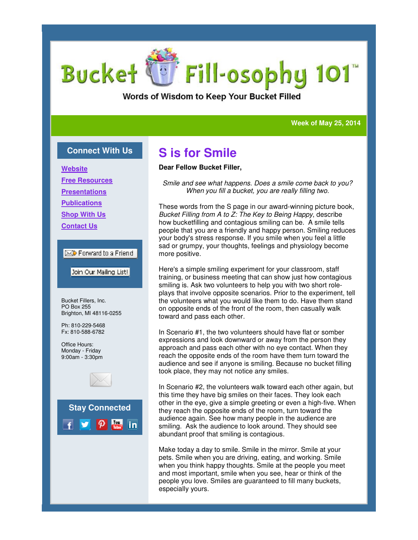# Fill-osophy 101 **Bucket**

Words of Wisdom to Keep Your Bucket Filled

### **Week of May 25, 2014 Week 25, 2014**

### **Connect With Us**

**Website**

**Free Resources**

**Presentations**

**Publications**

**Shop With Us**

**Contact Us**

### $\boxtimes$  Forward to a Friend

Join Our Mailing List!

Bucket Fillers, Inc. PO Box 255 Brighton, MI 48116-0255

Ph: 810-229-5468 Fx: 810-588-6782

Office Hours: Monday - Friday 9:00am - 3:30pm



**Stay Connected**  $|$  You linl

## **S is for Smile**

#### **Dear Fellow Bucket Filler,**

*Smile and see what happens. Does a smile come back to you? When you fill a bucket, you are really filling two. a smile come you* 

These words from the S page in our award-winning picture book,<br>*Bucket Filling from A to Z: The Key to Being Happy*, describe *Bucket Filling from A to Z: The Key to Being Happy* how bucketfilling and contagious smiling can be. A smile tells people that you are a friendly and happy person. Smiling reduces your body's stress response. If you smile when you feel a little sad or grumpy, your thoughts, feelings and physiology become more positive. people that you are a friendly and happy person. Smiling reduces<br>your body's stress response. If you smile when you feel a little<br>sad or grumpy, your thoughts, feelings and physiology become<br>more positive.<br>Here's a simple

Here's a simple smiling experiment for your classroom, staff training, or business meeting that can show just how contagious plays that involve opposite scenarios. Prior to the experiment, tell the volunteers what you would like them to do. Have them stand on opposite ends of the front of the room, then casually walk toward and pass each other.

In Scenario #1, the two volunteers should have flat or somber expressions and look downward or away from the person they approach and pass each other with no eye contact. When they reach the opposite ends of the room have them turn toward the audience and see if anyone is smiling. Because no bucket filling took place, they may not notice any smiles. eers what you would like them to do. Have them stand<br>te ends of the front of the room, then casually walk<br>d pass each other.<br>io #1, the two volunteers should have flat or somber<br>ns and look downward or away from the person

In Scenario #2, the volunteers walk toward each other again, but this time they have big smiles on their faces. They look each other in the eye, give a simple greeting or even a high they reach the opposite ends of the room, turn toward the audience again. See how many people in the audience are smiling. Ask the audience to look around. They should see abundant proof that smiling is contagious. :h the opposite ends of the room, turn toward the<br>: again. See how many people in the audience are<br>Ask the audience to look around. They should see

Make today a day to smile. Smile in the mirror. Smile at your pets. Smile when you are driving, eating, and working. Smile when you think happy thoughts. Smile at the people you meet and most important, smile when you see, hear or think of th people you love. Smiles are guaranteed to fill many buckets, especially yours. . Smile when you are driving, eating, and working. Smile<br>n you think happy thoughts. Smile at the people you mee<br>most important, smile when you see, hear or think of the